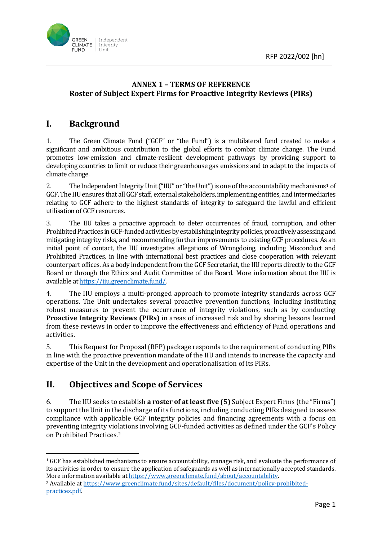

### **ANNEX 1 – TERMS OF REFERENCE Roster of Subject Expert Firms for Proactive Integrity Reviews (PIRs)**

## **I. Background**

1. The Green Climate Fund ("GCF" or "the Fund") is a multilateral fund created to make a significant and ambitious contribution to the global efforts to combat climate change. The Fund promotes low-emission and climate-resilient development pathways by providing support to developing countries to limit or reduce their greenhouse gas emissions and to adapt to the impacts of climate change.

2. The Independent Integrity Unit ("IIU" or "the Unit") is one of the accountability mechanisms<sup>[1](#page-0-0)</sup> of GCF. The IIU ensures that all GCF staff, external stakeholders, implementing entities, and intermediaries relating to GCF adhere to the highest standards of integrity to safeguard the lawful and efficient utilisation of GCF resources.

3. The IIU takes a proactive approach to deter occurrences of fraud, corruption, and other Prohibited Practices in GCF-funded activities by establishing integrity policies, proactively assessing and mitigating integrity risks, and recommending further improvements to existing GCF procedures. As an initial point of contact, the IIU investigates allegations of Wrongdoing, including Misconduct and Prohibited Practices, in line with international best practices and close cooperation with relevant counterpart offices. As a body independent from the GCF Secretariat, the IIU reports directly to the GCF Board or through the Ethics and Audit Committee of the Board. More information about the IIU is available a[t https://iiu.greenclimate.fund/.](https://iiu.greenclimate.fund/)

4. The IIU employs a multi-pronged approach to promote integrity standards across GCF operations. The Unit undertakes several proactive prevention functions, including instituting robust measures to prevent the occurrence of integrity violations, such as by conducting **Proactive Integrity Reviews (PIRs)** in areas of increased risk and by sharing lessons learned from these reviews in order to improve the effectiveness and efficiency of Fund operations and activities.

5. This Request for Proposal(RFP) package responds to the requirement of conducting PIRs in line with the proactive prevention mandate of the IIU and intends to increase the capacity and expertise of the Unit in the development and operationalisation of its PIRs.

## **II. Objectives and Scope of Services**

6. The IIU seeks to establish **a roster of at least five (5)** Subject Expert Firms (the "Firms") to support the Unit in the discharge of its functions, including conducting PIRs designed to assess compliance with applicable GCF integrity policies and financing agreements with a focus on preventing integrity violations involving GCF-funded activities as defined under the GCF's Policy on Prohibited Practices.[2](#page-0-1)

<span id="page-0-0"></span> $1$  GCF has established mechanisms to ensure accountability, manage risk, and evaluate the performance of its activities in order to ensure the application of safeguards as well as internationally accepted standards. More information available at [https://www.greenclimate.fund/about/accountability.](https://www.greenclimate.fund/about/accountability)

<span id="page-0-1"></span><sup>2</sup> Available at [https://www.greenclimate.fund/sites/default/files/document/policy-prohibited](https://www.greenclimate.fund/sites/default/files/document/policy-prohibited-practices.pdf)[practices.pdf.](https://www.greenclimate.fund/sites/default/files/document/policy-prohibited-practices.pdf)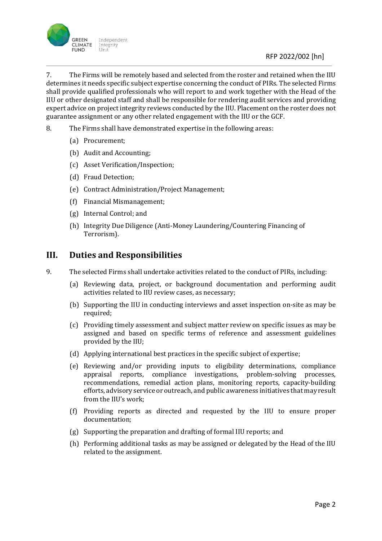

7. The Firms will be remotely based and selected from the roster and retained when the IIU determines it needs specific subject expertise concerning the conduct of PIRs. The selected Firms shall provide qualified professionals who will report to and work together with the Head of the IIU or other designated staff and shall be responsible for rendering audit services and providing expert advice on project integrity reviews conducted by the IIU. Placement on the roster does not guarantee assignment or any other related engagement with the IIU or the GCF.

- 8. The Firms shall have demonstrated expertise in the following areas:
	- (a) Procurement;
	- (b) Audit and Accounting;
	- (c) Asset Verification/Inspection;
	- (d) Fraud Detection;
	- (e) Contract Administration/Project Management;
	- (f) Financial Mismanagement;
	- (g) Internal Control; and
	- (h) Integrity Due Diligence (Anti-Money Laundering/Countering Financing of Terrorism).

### **III. Duties and Responsibilities**

- 9. The selected Firms shall undertake activities related to the conduct of PIRs, including:
	- (a) Reviewing data, project, or background documentation and performing audit activities related to IIU review cases, as necessary;
	- (b) Supporting the IIU in conducting interviews and asset inspection on-site as may be required;
	- (c) Providing timely assessment and subject matter review on specific issues as may be assigned and based on specific terms of reference and assessment guidelines provided by the IIU;
	- (d) Applying international best practices in the specific subject of expertise;
	- (e) Reviewing and/or providing inputs to eligibility determinations, compliance appraisal reports, compliance investigations, problem-solving processes, recommendations, remedial action plans, monitoring reports, capacity-building efforts, advisory service or outreach, and public awareness initiatives that may result from the IIU's work;
	- (f) Providing reports as directed and requested by the IIU to ensure proper documentation;
	- (g) Supporting the preparation and drafting of formal IIU reports; and
	- (h) Performing additional tasks as may be assigned or delegated by the Head of the IIU related to the assignment.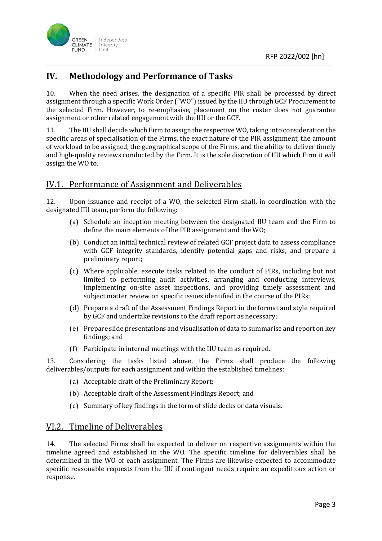

# **IV. Methodology and Performance of Tasks**

10. When the need arises, the designation of a specific PIR shall be processed by direct assignment through a specific Work Order ("WO") issued by the IIU through GCF Procurement to the selected Firm. However, to re-emphasise, placement on the roster does not guarantee assignment or other related engagement with the IIU or the GCF.

11. The IIU shall decide which Firm to assign the respective WO, taking into consideration the specific areas of specialisation of the Firms, the exact nature of the PIR assignment, the amount of workload to be assigned, the geographical scope of the Firms, and the ability to deliver timely and high-quality reviews conducted by the Firm. It is the sole discretion of IIU which Firm it will assign the WO to.

### IV.1. Performance of Assignment and Deliverables

12. Upon issuance and receipt of a WO, the selected Firm shall, in coordination with the designated IIU team, perform the following:

- (a) Schedule an inception meeting between the designated IIU team and the Firm to define the main elements of the PIR assignment and the WO;
- (b) Conduct an initial technical review of related GCF project data to assess compliance with GCF integrity standards, identify potential gaps and risks, and prepare a preliminary report;
- (c) Where applicable, execute tasks related to the conduct of PIRs, including but not limited to performing audit activities, arranging and conducting interviews, implementing on-site asset inspections, and providing timely assessment and subject matter review on specific issues identified in the course of the PIRs;
- (d) Prepare a draft of the Assessment Findings Report in the format and style required by GCF and undertake revisions to the draft report as necessary;
- (e) Prepare slide presentations and visualisation of data to summarise and report on key findings; and
- (f) Participate in internal meetings with the IIU team as required.

13. Considering the tasks listed above, the Firms shall produce the following deliverables/outputs for each assignment and within the established timelines:

- (a) Acceptable draft of the Preliminary Report;
- (b) Acceptable draft of the Assessment Findings Report; and
- (c) Summary of key findings in the form of slide decks or data visuals.

### VI.2. Timeline of Deliverables

14. The selected Firms shall be expected to deliver on respective assignments within the timeline agreed and established in the WO. The specific timeline for deliverables shall be determined in the WO of each assignment. The Firms are likewise expected to accommodate specific reasonable requests from the IIU if contingent needs require an expeditious action or response.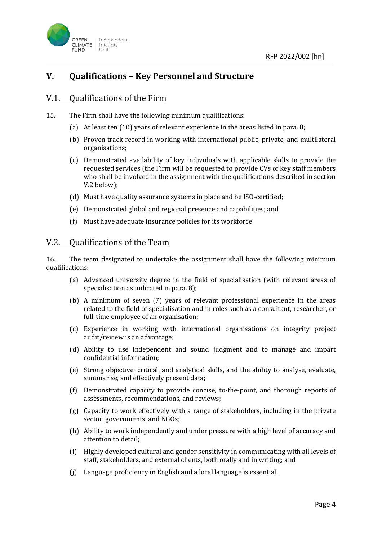

# **V. Qualifications – Key Personnel and Structure**

#### V.1. Qualifications of the Firm

- 15. The Firm shall have the following minimum qualifications:
	- (a) At least ten (10) years of relevant experience in the areas listed in para. 8;
	- (b) Proven track record in working with international public, private, and multilateral organisations;
	- (c) Demonstrated availability of key individuals with applicable skills to provide the requested services (the Firm will be requested to provide CVs of key staff members who shall be involved in the assignment with the qualifications described in section V.2 below);
	- (d) Must have quality assurance systems in place and be ISO-certified;
	- (e) Demonstrated global and regional presence and capabilities; and
	- (f) Must have adequate insurance policies for its workforce.

#### V.2. Qualifications of the Team

16. The team designated to undertake the assignment shall have the following minimum qualifications:

- (a) Advanced university degree in the field of specialisation (with relevant areas of specialisation as indicated in para. 8);
- (b) A minimum of seven (7) years of relevant professional experience in the areas related to the field of specialisation and in roles such as a consultant, researcher, or full-time employee of an organisation;
- (c) Experience in working with international organisations on integrity project audit/review is an advantage;
- (d) Ability to use independent and sound judgment and to manage and impart confidential information;
- (e) Strong objective, critical, and analytical skills, and the ability to analyse, evaluate, summarise, and effectively present data;
- (f) Demonstrated capacity to provide concise, to-the-point, and thorough reports of assessments, recommendations, and reviews;
- (g) Capacity to work effectively with a range of stakeholders, including in the private sector, governments, and NGOs;
- (h) Ability to work independently and under pressure with a high level of accuracy and attention to detail;
- (i) Highly developed cultural and gender sensitivity in communicating with all levels of staff, stakeholders, and external clients, both orally and in writing; and
- (j) Language proficiency in English and a local language is essential.